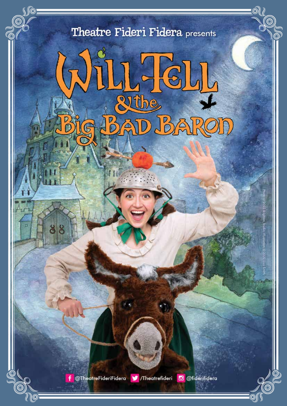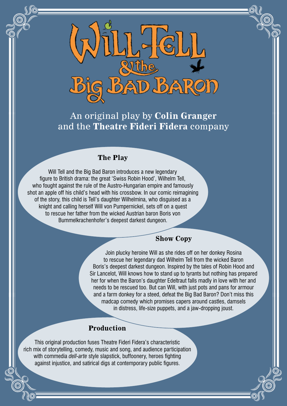

An original play by **Colin Granger** and the **Theatre Fideri Fidera** company

#### **The Play**

Will Tell and the Big Bad Baron introduces a new legendary figure to British drama: the great 'Swiss Robin Hood', Wilhelm Tell, who fought against the rule of the Austro-Hungarian empire and famously shot an apple off his child's head with his crossbow. In our comic reimagining of the story, this child is Tell's daughter Wilhelmina, who disguised as a knight and calling herself Will von Pumpernickel, sets off on a quest to rescue her father from the wicked Austrian baron Boris von Bummelkrachenhofer's deepest darkest dungeon.

#### **Show Copy**

Join plucky heroine Will as she rides off on her donkey Rosina to rescue her legendary dad Wilhelm Tell from the wicked Baron Boris's deepest darkest dungeon. Inspired by the tales of Robin Hood and Sir Lancelot, Will knows how to stand up to tyrants but nothing has prepared her for when the Baron's daughter Edeltraut falls madly in love with her and needs to be rescued too. But can Will, with just pots and pans for armour and a farm donkey for a steed, defeat the Big Bad Baron? Don't miss this madcap comedy which promises capers around castles, damsels in distress, life-size puppets, and a jaw-dropping joust.

### **Production**

This original production fuses Theatre Fideri Fidera's characteristic rich mix of storytelling, comedy, music and song, and audience participation with commedia *dell-arte* style slapstick, buffoonery, heroes fighting against injustice, and satirical digs at contemporary public figures.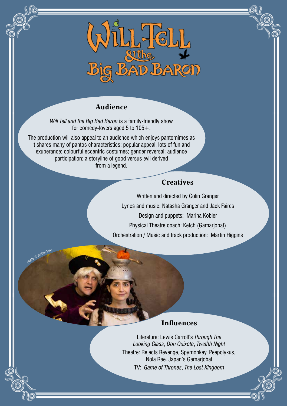

### **Audience**

*Will Tell and the Big Bad Baron* is a family-friendly show for comedy-lovers aged 5 to 105+.

The production will also appeal to an audience which enjoys pantomimes as it shares many of pantos characteristics: popular appeal, lots of fun and exuberance; colourful eccentric costumes; gender reversal; audience participation; a storyline of good versus evil derived from a legend.

Photo © Amber Tan

### **Creatives**

Written and directed by Colin Granger Lyrics and music: Natasha Granger and Jack Faires Design and puppets: Marina Kobler Physical Theatre coach: Ketch (Gamarjobat) Orchestration / Music and track production: Martin Higgins

### **Influences**

Literature: Lewis Carroll's *Through The Looking Glass*, *Don Quixote*, *Twelfth Night* Theatre: Rejects Revenge, Spymonkey, Peepolykus, Nola Rae. Japan's Gamarjobat TV: *Game of Thrones*, *The Lost KIngdom*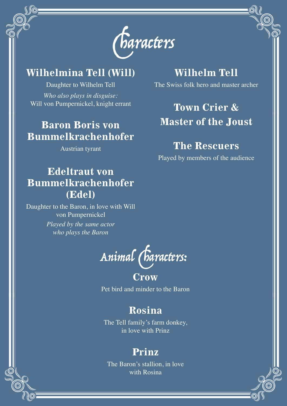

### **Wilhelmina Tell (Will)**

Daughter to Wilhelm Tell *Who also plays in disguise:* Will von Pumpernickel, knight errant

## **Baron Boris von Bummelkrachenhofer**

Austrian tyrant

## **Wilhelm Tell**

The Swiss folk hero and master archer

# **Town Crier & Master of the Joust**

## **The Rescuers**

Played by members of the audience

## **Edeltraut von Bummelkrachenhofer (Edel)**

Daughter to the Baron, in love with Will von Pumpernickel *Played by the same actor who plays the Baron*



## **Crow**

Pet bird and minder to the Baron

## **Rosina**

The Tell family's farm donkey, in love with Prinz

## **Prinz**

The Baron's stallion, in love with Rosina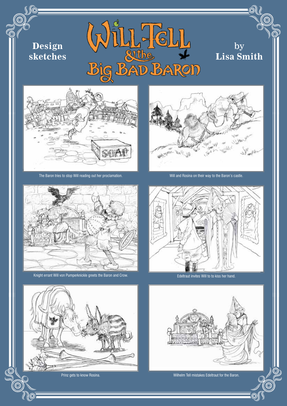



by

ര

**Lisa Smith**

The Baron tries to stop Will reading out her proclamation. Will and Rosina on their way to the Baron's castle.



Knight errant Will von Pumperknickle greets the Baron and Crow. Entertainment of the Edeltraut invites Will to to kiss her hand.





Prinz gets to know Rosina.

 $\circledcirc$ 



Wilhelm Tell mistakes Edeltraut for the Baron.

⊚∫